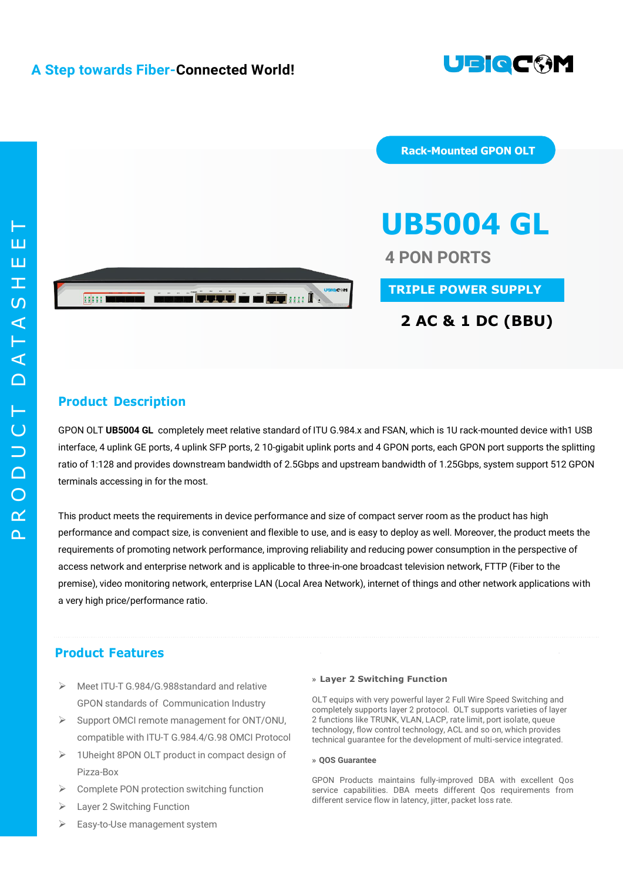

 $\Omega$  $\alpha$  $\bigcirc$  $\Box$  $\Box$  $\overline{C}$ T  $\cap$  $\blacktriangleleft$ T  $\blacktriangleleft$  $\overline{S}$  $\top$ EET



**Rack-Mounted GPON OLT**

# **UB5004 GL**

**4 PON PORTS**

**TRIPLE POWER SUPPLY**

### **2 AC & 1 DC (BBU)**

#### **Product Description**

GPON OLT **UB5004 GL** completely meet relative standard of ITU G.984.x and FSAN, which is 1U rack-mounted device with1 USB interface, 4 uplink GE ports, 4 uplink SFP ports, 2 10-gigabit uplink ports and 4 GPON ports, each GPON port supports the splitting ratio of 1:128 and provides downstream bandwidth of 2.5Gbps and upstream bandwidth of 1.25Gbps, system support 512 GPON terminals accessing in for the most.

This product meets the requirements in device performance and size of compact server room as the product has high performance and compact size, is convenient and flexible to use, and is easy to deploy as well. Moreover, the product meets the requirements of promoting network performance, improving reliability and reducing power consumption in the perspective of access network and enterprise network and is applicable to three-in-one broadcast television network, FTTP (Fiber to the premise), video monitoring network, enterprise LAN (Local Area Network), internet of things and other network applications with a very high price/performance ratio.

#### **Product Features**

- Meet ITU-T G.984/G.988standard and relative GPON standards of Communication Industry
- $\triangleright$  Support OMCI remote management for ONT/ONU, compatible with ITU-T G.984.4/G.98 OMCI Protocol
- $\geq$  1Uheight 8PON OLT product in compact design of Pizza-Box
- Complete PON protection switching function
- Layer 2 Switching Function
- Easy-to-Use management system

#### **» Layer 2 Switching Function**

OLT equips with very powerful layer 2 Full Wire Speed Switching and completely supports layer 2 protocol. OLT supports varieties of layer 2 functions like TRUNK, VLAN, LACP, rate limit, port isolate, queue technology, flow control technology, ACL and so on, which provides technical guarantee for the development of multi-service integrated.

#### **» QOS Guarantee**

GPON Products maintains fully-improved DBA with excellent Qos service capabilities. DBA meets different Qos requirements from different service flow in latency, jitter, packet loss rate.